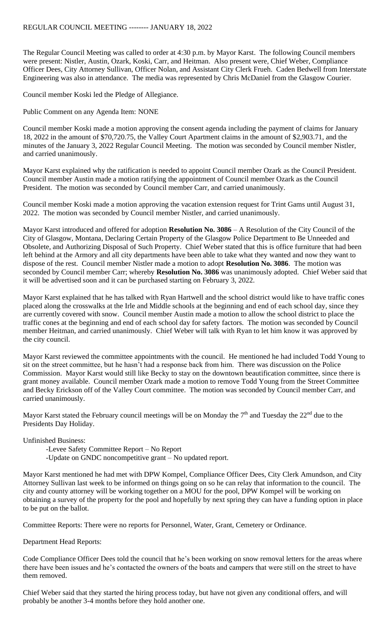The Regular Council Meeting was called to order at 4:30 p.m. by Mayor Karst. The following Council members were present: Nistler, Austin, Ozark, Koski, Carr, and Heitman. Also present were, Chief Weber, Compliance Officer Dees, City Attorney Sullivan, Officer Nolan, and Assistant City Clerk Frueh. Caden Bedwell from Interstate Engineering was also in attendance. The media was represented by Chris McDaniel from the Glasgow Courier.

Council member Koski led the Pledge of Allegiance.

Public Comment on any Agenda Item: NONE

Council member Koski made a motion approving the consent agenda including the payment of claims for January 18, 2022 in the amount of \$70,720.75, the Valley Court Apartment claims in the amount of \$2,903.71, and the minutes of the January 3, 2022 Regular Council Meeting. The motion was seconded by Council member Nistler, and carried unanimously.

Mayor Karst explained why the ratification is needed to appoint Council member Ozark as the Council President. Council member Austin made a motion ratifying the appointment of Council member Ozark as the Council President. The motion was seconded by Council member Carr, and carried unanimously.

Council member Koski made a motion approving the vacation extension request for Trint Gams until August 31, 2022. The motion was seconded by Council member Nistler, and carried unanimously.

Mayor Karst introduced and offered for adoption **Resolution No. 3086** – A Resolution of the City Council of the City of Glasgow, Montana, Declaring Certain Property of the Glasgow Police Department to Be Unneeded and Obsolete, and Authorizing Disposal of Such Property. Chief Weber stated that this is office furniture that had been left behind at the Armory and all city departments have been able to take what they wanted and now they want to dispose of the rest. Council member Nistler made a motion to adopt **Resolution No. 3086**. The motion was seconded by Council member Carr; whereby **Resolution No. 3086** was unanimously adopted. Chief Weber said that it will be advertised soon and it can be purchased starting on February 3, 2022.

Mayor Karst explained that he has talked with Ryan Hartwell and the school district would like to have traffic cones placed along the crosswalks at the Irle and Middle schools at the beginning and end of each school day, since they are currently covered with snow. Council member Austin made a motion to allow the school district to place the traffic cones at the beginning and end of each school day for safety factors. The motion was seconded by Council member Heitman, and carried unanimously. Chief Weber will talk with Ryan to let him know it was approved by the city council.

Mayor Karst reviewed the committee appointments with the council. He mentioned he had included Todd Young to sit on the street committee, but he hasn't had a response back from him. There was discussion on the Police Commission. Mayor Karst would still like Becky to stay on the downtown beautification committee, since there is grant money available. Council member Ozark made a motion to remove Todd Young from the Street Committee and Becky Erickson off of the Valley Court committee. The motion was seconded by Council member Carr, and carried unanimously.

Mayor Karst stated the February council meetings will be on Monday the  $7<sup>th</sup>$  and Tuesday the  $22<sup>nd</sup>$  due to the Presidents Day Holiday.

Unfinished Business:

-Levee Safety Committee Report – No Report

-Update on GNDC noncompetitive grant – No updated report.

Mayor Karst mentioned he had met with DPW Kompel, Compliance Officer Dees, City Clerk Amundson, and City Attorney Sullivan last week to be informed on things going on so he can relay that information to the council. The city and county attorney will be working together on a MOU for the pool, DPW Kompel will be working on obtaining a survey of the property for the pool and hopefully by next spring they can have a funding option in place to be put on the ballot.

Committee Reports: There were no reports for Personnel, Water, Grant, Cemetery or Ordinance.

Department Head Reports:

Code Compliance Officer Dees told the council that he's been working on snow removal letters for the areas where there have been issues and he's contacted the owners of the boats and campers that were still on the street to have them removed.

Chief Weber said that they started the hiring process today, but have not given any conditional offers, and will probably be another 3-4 months before they hold another one.